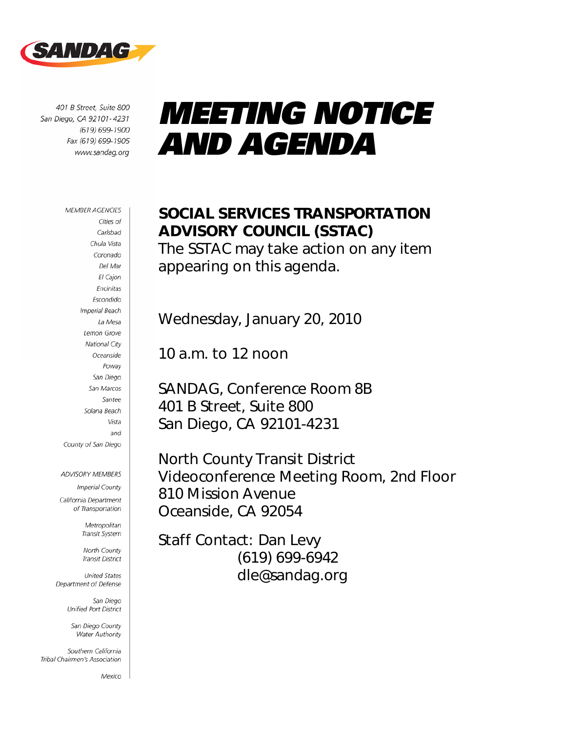

401 B Street, Suite 800 San Diego, CA 92101-4231 (619) 699-1900 Fax (619) 699-1905 www.sandag.org

# *MEETING NOTICE AND AGENDA*

#### **MEMBER AGENCIES**

Cities of Carlsbad Chula Vista Coronado Del Mar El Cajon Encinitas Escondido **Imperial Beach** La Mesa Lemon Grove National City Oceanside Poway San Diego San Marcos Santee Solana Beach Vista and County of San Diego

**ADVISORY MEMBERS** Imperial County California Department of Transportation

> Metropolitan Transit System

North County Transit District

**United States** Department of Defense

> San Diego Unified Port District

San Diego County Water Authority

Southern California Tribal Chairmen's Association

Mexico

## SOCIAL SERVICES TRANSPORTATION ADVISORY COUNCIL (SSTAC)

The SSTAC may take action on any item appearing on this agenda.

Wednesday, January 20, 2010

10 a.m. to 12 noon

SANDAG, Conference Room 8B 401 B Street, Suite 800 San Diego, CA 92101-4231

North County Transit District Videoconference Meeting Room, 2nd Floor 810 Mission Avenue Oceanside, CA 92054

Staff Contact: Dan Levy (619) 699-6942 dle@sandag.org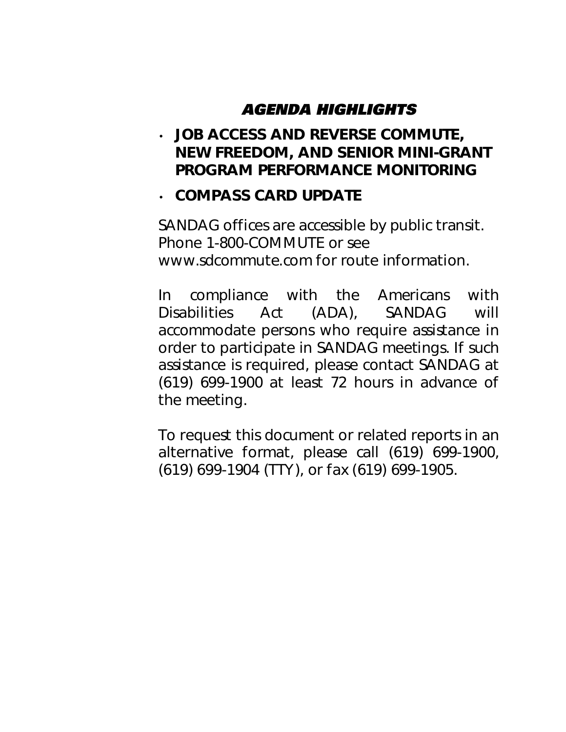## *AGENDA HIGHLIGHTS*

• JOB ACCESS AND REVERSE COMMUTE, NEW FREEDOM, AND SENIOR MINI-GRANT PROGRAM PERFORMANCE MONITORING

#### • COMPASS CARD UPDATE

*SANDAG offices are accessible by public transit. Phone 1-800-COMMUTE or see www.sdcommute.com for route information.* 

*In compliance with the Americans with Disabilities Act (ADA), SANDAG will accommodate persons who require assistance in order to participate in SANDAG meetings. If such assistance is required, please contact SANDAG at (619) 699-1900 at least 72 hours in advance of the meeting.* 

*To request this document or related reports in an alternative format, please call (619) 699-1900, (619) 699-1904 (TTY), or fax (619) 699-1905.*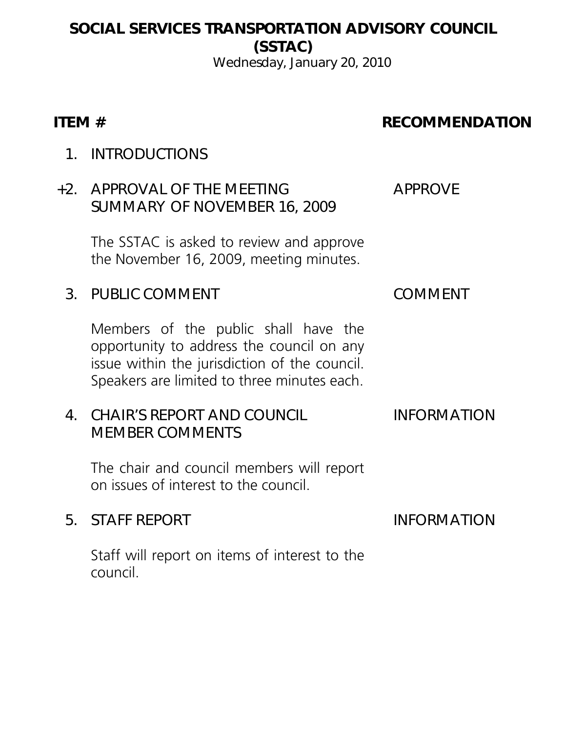## SOCIAL SERVICES TRANSPORTATION ADVISORY COUNCIL (SSTAC)

Wednesday, January 20, 2010

#### ITEM # RECOMMENDATION

1. INTRODUCTIONS

#### +2. APPROVAL OF THE MEETING SUMMARY OF NOVEMBER 16, 2009

The SSTAC is asked to review and approve the November 16, 2009, meeting minutes.

## 3. PUBLIC COMMENT COMMENT

Members of the public shall have the opportunity to address the council on any issue within the jurisdiction of the council. Speakers are limited to three minutes each.

#### 4. CHAIR'S REPORT AND COUNCIL MEMBER COMMENTS

The chair and council members will report on issues of interest to the council.

#### 5. STAFF REPORT INFORMATION

Staff will report on items of interest to the council.

APPROVE

#### INFORMATION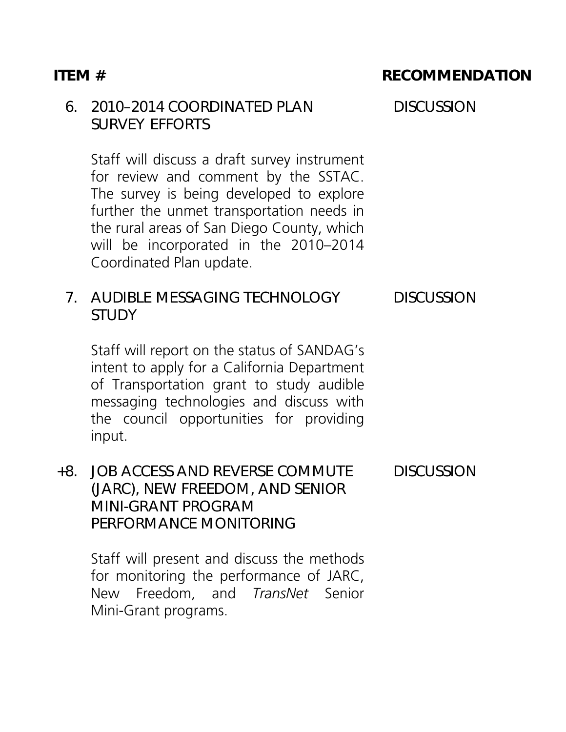#### 6. 2010–2014 COORDINATED PLAN SURVEY EFFORTS

Staff will discuss a draft survey instrument for review and comment by the SSTAC. The survey is being developed to explore further the unmet transportation needs in the rural areas of San Diego County, which will be incorporated in the 2010–2014 Coordinated Plan update.

#### 7. AUDIBLE MESSAGING TECHNOLOGY **STUDY**

Staff will report on the status of SANDAG's intent to apply for a California Department of Transportation grant to study audible messaging technologies and discuss with the council opportunities for providing input.

#### +8. JOB ACCESS AND REVERSE COMMUTE (JARC), NEW FREEDOM, AND SENIOR MINI-GRANT PROGRAM PERFORMANCE MONITORING DISCUSSION

Staff will present and discuss the methods for monitoring the performance of JARC, New Freedom, and *TransNet* Senior Mini-Grant programs.

#### ITEM # RECOMMENDATION

**DISCUSSION** 

**DISCUSSION**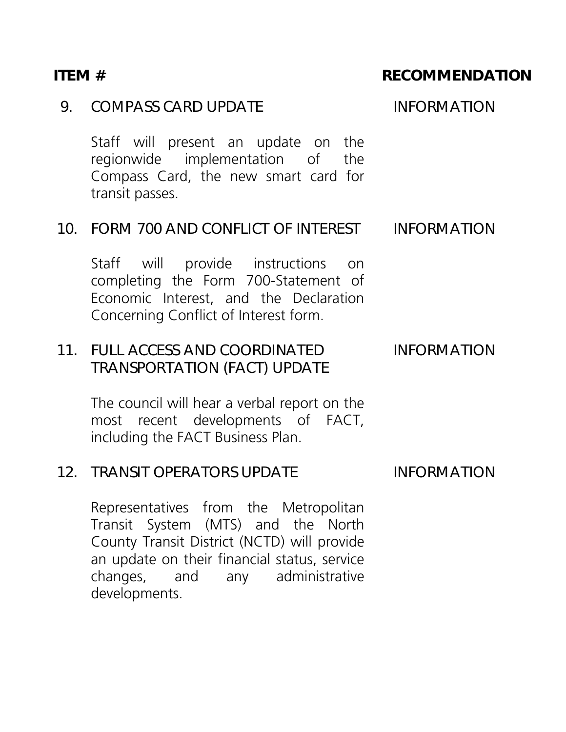#### 9. COMPASS CARD UPDATE INFORMATION

Staff will present an update on the regionwide implementation of the Compass Card, the new smart card for transit passes.

#### 10. FORM 700 AND CONFLICT OF INTEREST INFORMATION

Staff will provide instructions on completing the Form 700-Statement of Economic Interest, and the Declaration Concerning Conflict of Interest form.

#### 11. FULL ACCESS AND COORDINATED TRANSPORTATION (FACT) UPDATE INFORMATION

The council will hear a verbal report on the most recent developments of FACT, including the FACT Business Plan.

#### 12. TRANSIT OPERATORS UPDATE INFORMATION

Representatives from the Metropolitan Transit System (MTS) and the North County Transit District (NCTD) will provide an update on their financial status, service changes, and any administrative developments.

#### ITEM # RECOMMENDATION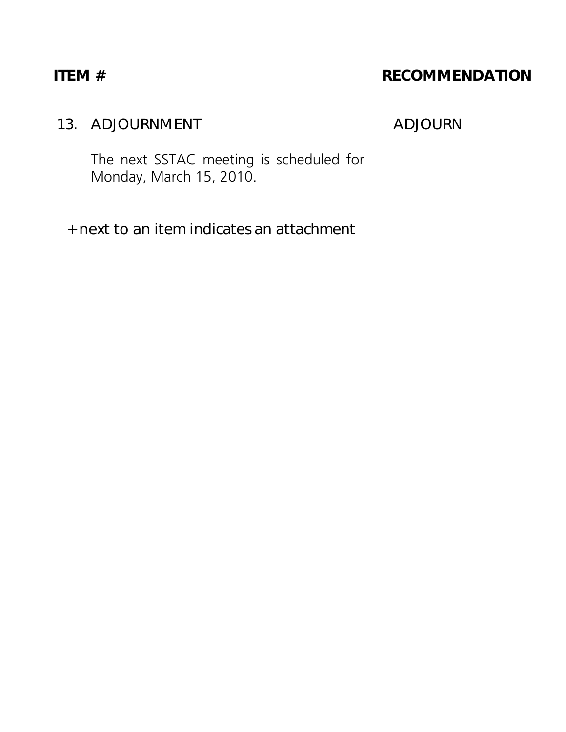### ITEM # RECOMMENDATION

## 13. ADJOURNMENT ADJOURN

The next SSTAC meeting is scheduled for Monday, March 15, 2010.

+ next to an item indicates an attachment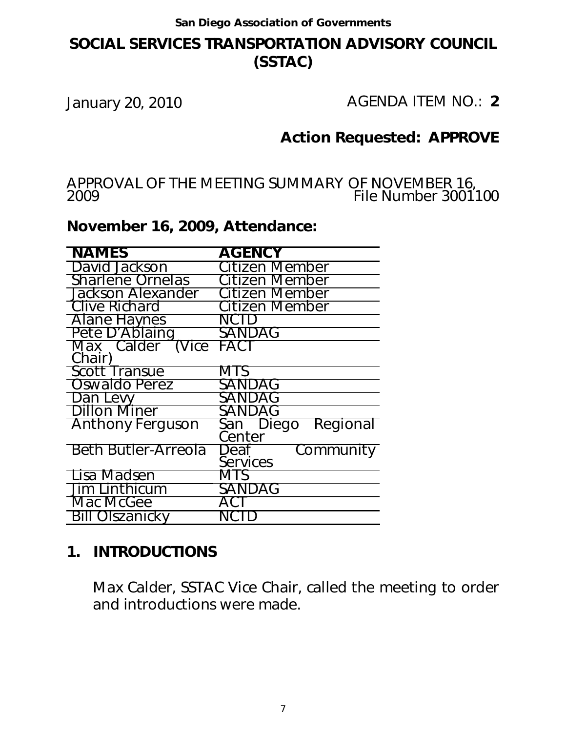#### **SOCIAL SERVICES TRANSPORTATION ADVISORY COUNCIL (SSTAC)**

January 20, 2010 AGENDA ITEM NO.: **2**

#### **Action Requested: APPROVE**

APPROVAL OF THE MEETING SUMMARY OF NOVEMBER 16, 2009 File Number 3001100

#### **November 16, 2009, Attendance:**

| <b>NAMES</b>               | <b>AGENCY</b>         |
|----------------------------|-----------------------|
| David Jackson              | Citizen Member        |
| <b>Sharlene Ornelas</b>    | <b>Citizen Member</b> |
| <b>Jackson Alexander</b>   | Citizen Member        |
| <b>Clive Richard</b>       | Citizen Member        |
| <b>Alane Haynes</b>        | NCID                  |
| Pete D'Ablaing             | SANDAG                |
| Max Calder (Vice           | <b>FACT</b>           |
| Chair)                     |                       |
| <b>Scott Transue</b>       | MTS                   |
| Oswaldo Perez              | SANDAG                |
| Dan Levy                   | SANDAG                |
| <b>Dillon Miner</b>        | SANDAG                |
| <b>Anthony Ferguson</b>    | Regional<br>San Diego |
|                            | Center                |
| <b>Beth Butler-Arreola</b> | Deaf<br>Community     |
|                            | Services              |
| Lisa Madsen                | MTS                   |
| Jim Linthicum              | SANDAG                |
| Mac McGee                  |                       |
| Olszanicky                 |                       |

#### **1. INTRODUCTIONS**

Max Calder, SSTAC Vice Chair, called the meeting to order and introductions were made.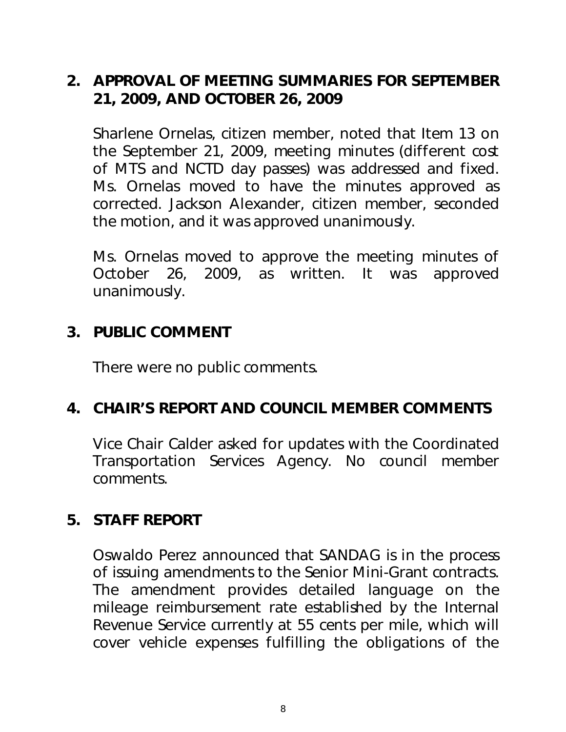## **2. APPROVAL OF MEETING SUMMARIES FOR SEPTEMBER 21, 2009, AND OCTOBER 26, 2009**

Sharlene Ornelas, citizen member, noted that Item 13 on the September 21, 2009, meeting minutes (different cost of MTS and NCTD day passes) was addressed and fixed. Ms. Ornelas moved to have the minutes approved as corrected. Jackson Alexander, citizen member, seconded the motion, and it was approved unanimously.

Ms. Ornelas moved to approve the meeting minutes of October 26, 2009, as written. It was approved unanimously.

#### **3. PUBLIC COMMENT**

There were no public comments.

## **4. CHAIR'S REPORT AND COUNCIL MEMBER COMMENTS**

Vice Chair Calder asked for updates with the Coordinated Transportation Services Agency. No council member comments.

## **5. STAFF REPORT**

Oswaldo Perez announced that SANDAG is in the process of issuing amendments to the Senior Mini-Grant contracts. The amendment provides detailed language on the mileage reimbursement rate established by the Internal Revenue Service currently at 55 cents per mile, which will cover vehicle expenses fulfilling the obligations of the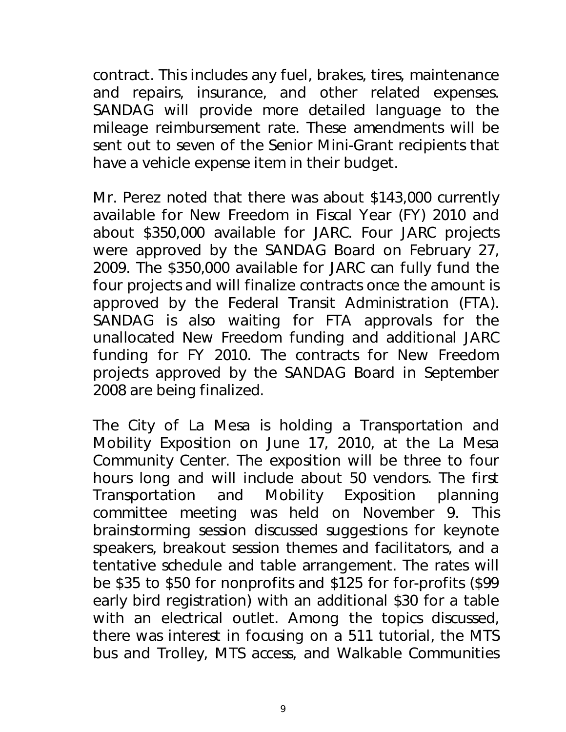contract. This includes any fuel, brakes, tires, maintenance and repairs, insurance, and other related expenses. SANDAG will provide more detailed language to the mileage reimbursement rate. These amendments will be sent out to seven of the Senior Mini-Grant recipients that have a vehicle expense item in their budget.

Mr. Perez noted that there was about \$143,000 currently available for New Freedom in Fiscal Year (FY) 2010 and about \$350,000 available for JARC. Four JARC projects were approved by the SANDAG Board on February 27, 2009. The \$350,000 available for JARC can fully fund the four projects and will finalize contracts once the amount is approved by the Federal Transit Administration (FTA). SANDAG is also waiting for FTA approvals for the unallocated New Freedom funding and additional JARC funding for FY 2010. The contracts for New Freedom projects approved by the SANDAG Board in September 2008 are being finalized.

The City of La Mesa is holding a Transportation and Mobility Exposition on June 17, 2010, at the La Mesa Community Center. The exposition will be three to four hours long and will include about 50 vendors. The first Transportation and Mobility Exposition planning committee meeting was held on November 9. This brainstorming session discussed suggestions for keynote speakers, breakout session themes and facilitators, and a tentative schedule and table arrangement. The rates will be \$35 to \$50 for nonprofits and \$125 for for-profits (\$99 early bird registration) with an additional \$30 for a table with an electrical outlet. Among the topics discussed, there was interest in focusing on a 511 tutorial, the MTS bus and Trolley, MTS access, and Walkable Communities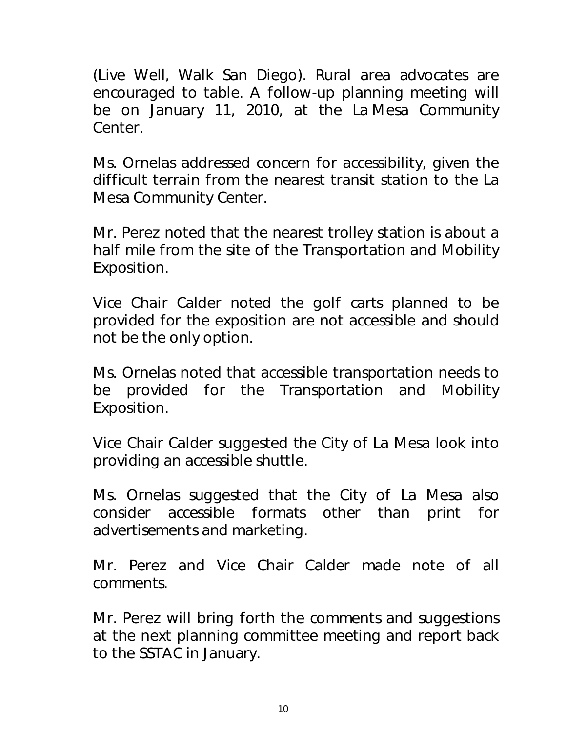(Live Well, Walk San Diego). Rural area advocates are encouraged to table. A follow-up planning meeting will be on January 11, 2010, at the La Mesa Community Center.

Ms. Ornelas addressed concern for accessibility, given the difficult terrain from the nearest transit station to the La Mesa Community Center.

Mr. Perez noted that the nearest trolley station is about a half mile from the site of the Transportation and Mobility Exposition.

Vice Chair Calder noted the golf carts planned to be provided for the exposition are not accessible and should not be the only option.

Ms. Ornelas noted that accessible transportation needs to be provided for the Transportation and Mobility Exposition.

Vice Chair Calder suggested the City of La Mesa look into providing an accessible shuttle.

Ms. Ornelas suggested that the City of La Mesa also consider accessible formats other than print for advertisements and marketing.

Mr. Perez and Vice Chair Calder made note of all comments.

Mr. Perez will bring forth the comments and suggestions at the next planning committee meeting and report back to the SSTAC in January.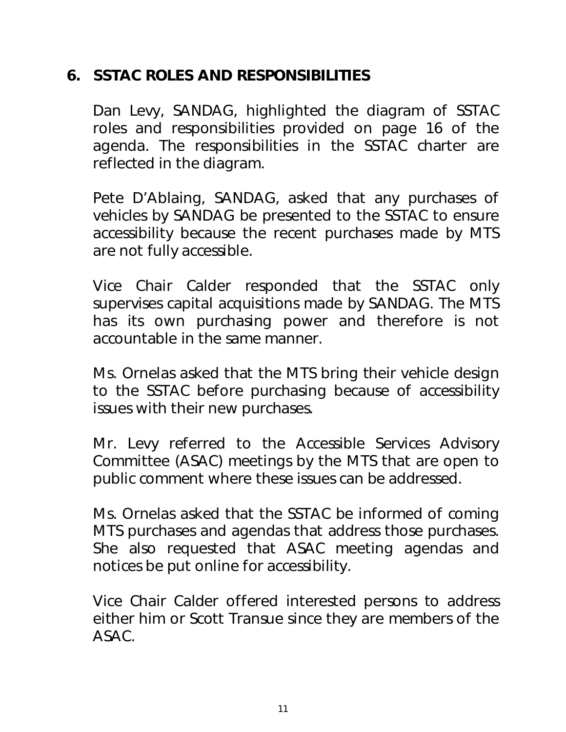## **6. SSTAC ROLES AND RESPONSIBILITIES**

Dan Levy, SANDAG, highlighted the diagram of SSTAC roles and responsibilities provided on page 16 of the agenda. The responsibilities in the SSTAC charter are reflected in the diagram.

Pete D'Ablaing, SANDAG, asked that any purchases of vehicles by SANDAG be presented to the SSTAC to ensure accessibility because the recent purchases made by MTS are not fully accessible.

Vice Chair Calder responded that the SSTAC only supervises capital acquisitions made by SANDAG. The MTS has its own purchasing power and therefore is not accountable in the same manner.

Ms. Ornelas asked that the MTS bring their vehicle design to the SSTAC before purchasing because of accessibility issues with their new purchases.

Mr. Levy referred to the Accessible Services Advisory Committee (ASAC) meetings by the MTS that are open to public comment where these issues can be addressed.

Ms. Ornelas asked that the SSTAC be informed of coming MTS purchases and agendas that address those purchases. She also requested that ASAC meeting agendas and notices be put online for accessibility.

Vice Chair Calder offered interested persons to address either him or Scott Transue since they are members of the ASAC.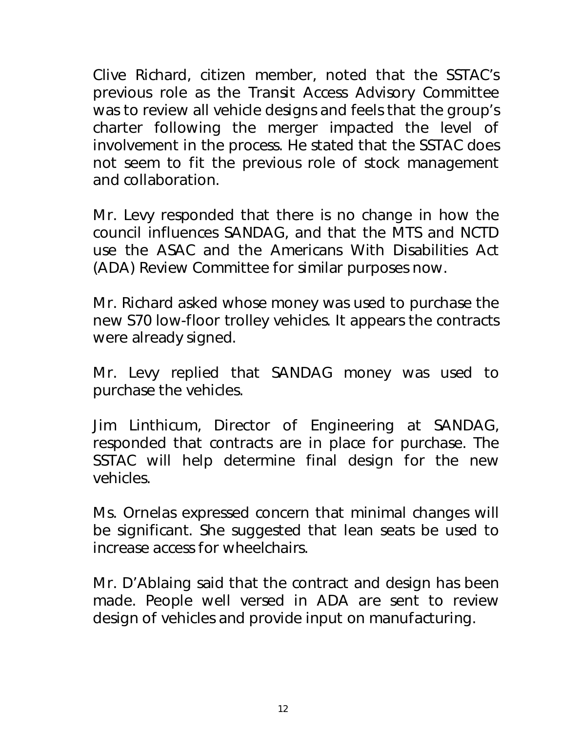Clive Richard, citizen member, noted that the SSTAC's previous role as the Transit Access Advisory Committee was to review all vehicle designs and feels that the group's charter following the merger impacted the level of involvement in the process. He stated that the SSTAC does not seem to fit the previous role of stock management and collaboration.

Mr. Levy responded that there is no change in how the council influences SANDAG, and that the MTS and NCTD use the ASAC and the Americans With Disabilities Act (ADA) Review Committee for similar purposes now.

Mr. Richard asked whose money was used to purchase the new S70 low-floor trolley vehicles. It appears the contracts were already signed.

Mr. Levy replied that SANDAG money was used to purchase the vehicles.

Jim Linthicum, Director of Engineering at SANDAG, responded that contracts are in place for purchase. The SSTAC will help determine final design for the new vehicles.

Ms. Ornelas expressed concern that minimal changes will be significant. She suggested that lean seats be used to increase access for wheelchairs.

Mr. D'Ablaing said that the contract and design has been made. People well versed in ADA are sent to review design of vehicles and provide input on manufacturing.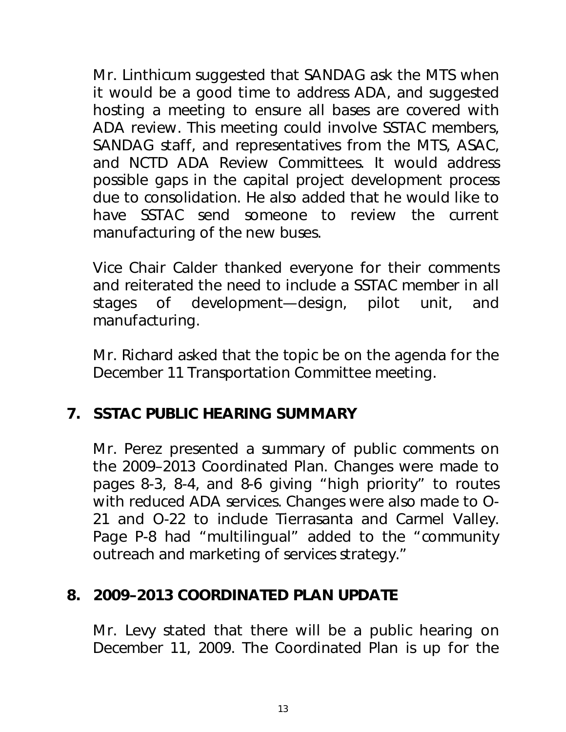Mr. Linthicum suggested that SANDAG ask the MTS when it would be a good time to address ADA, and suggested hosting a meeting to ensure all bases are covered with ADA review. This meeting could involve SSTAC members, SANDAG staff, and representatives from the MTS, ASAC, and NCTD ADA Review Committees. It would address possible gaps in the capital project development process due to consolidation. He also added that he would like to have SSTAC send someone to review the current manufacturing of the new buses.

Vice Chair Calder thanked everyone for their comments and reiterated the need to include a SSTAC member in all stages of development—design, pilot unit, and manufacturing.

Mr. Richard asked that the topic be on the agenda for the December 11 Transportation Committee meeting.

## **7. SSTAC PUBLIC HEARING SUMMARY**

Mr. Perez presented a summary of public comments on the 2009–2013 Coordinated Plan. Changes were made to pages 8-3, 8-4, and 8-6 giving "high priority" to routes with reduced ADA services. Changes were also made to O-21 and O-22 to include Tierrasanta and Carmel Valley. Page P-8 had "multilingual" added to the "community outreach and marketing of services strategy."

#### **8. 2009–2013 COORDINATED PLAN UPDATE**

Mr. Levy stated that there will be a public hearing on December 11, 2009. The Coordinated Plan is up for the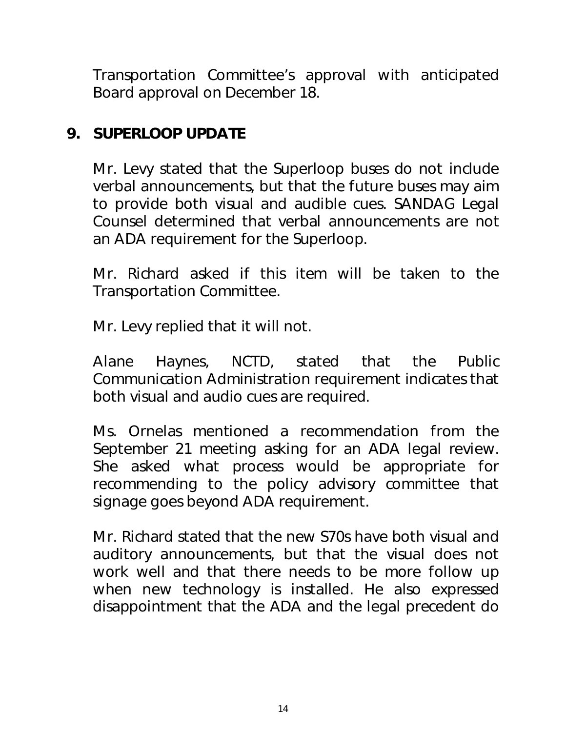Transportation Committee's approval with anticipated Board approval on December 18.

## **9. SUPERLOOP UPDATE**

Mr. Levy stated that the Superloop buses do not include verbal announcements, but that the future buses may aim to provide both visual and audible cues. SANDAG Legal Counsel determined that verbal announcements are not an ADA requirement for the Superloop.

Mr. Richard asked if this item will be taken to the Transportation Committee.

Mr. Levy replied that it will not.

Alane Haynes, NCTD, stated that the Public Communication Administration requirement indicates that both visual and audio cues are required.

Ms. Ornelas mentioned a recommendation from the September 21 meeting asking for an ADA legal review. She asked what process would be appropriate for recommending to the policy advisory committee that signage goes beyond ADA requirement.

Mr. Richard stated that the new S70s have both visual and auditory announcements, but that the visual does not work well and that there needs to be more follow up when new technology is installed. He also expressed disappointment that the ADA and the legal precedent do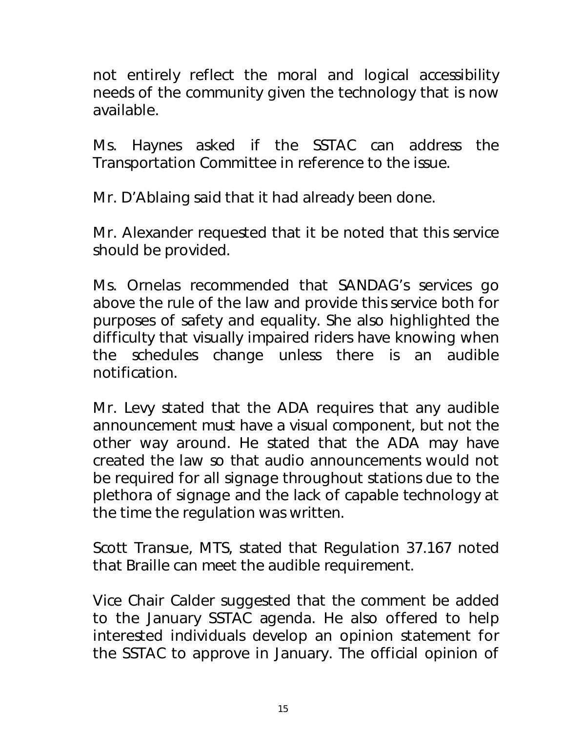not entirely reflect the moral and logical accessibility needs of the community given the technology that is now available.

Ms. Haynes asked if the SSTAC can address the Transportation Committee in reference to the issue.

Mr. D'Ablaing said that it had already been done.

Mr. Alexander requested that it be noted that this service should be provided.

Ms. Ornelas recommended that SANDAG's services go above the rule of the law and provide this service both for purposes of safety and equality. She also highlighted the difficulty that visually impaired riders have knowing when the schedules change unless there is an audible notification.

Mr. Levy stated that the ADA requires that any audible announcement must have a visual component, but not the other way around. He stated that the ADA may have created the law so that audio announcements would not be required for all signage throughout stations due to the plethora of signage and the lack of capable technology at the time the regulation was written.

Scott Transue, MTS, stated that Regulation 37.167 noted that Braille can meet the audible requirement.

Vice Chair Calder suggested that the comment be added to the January SSTAC agenda. He also offered to help interested individuals develop an opinion statement for the SSTAC to approve in January. The official opinion of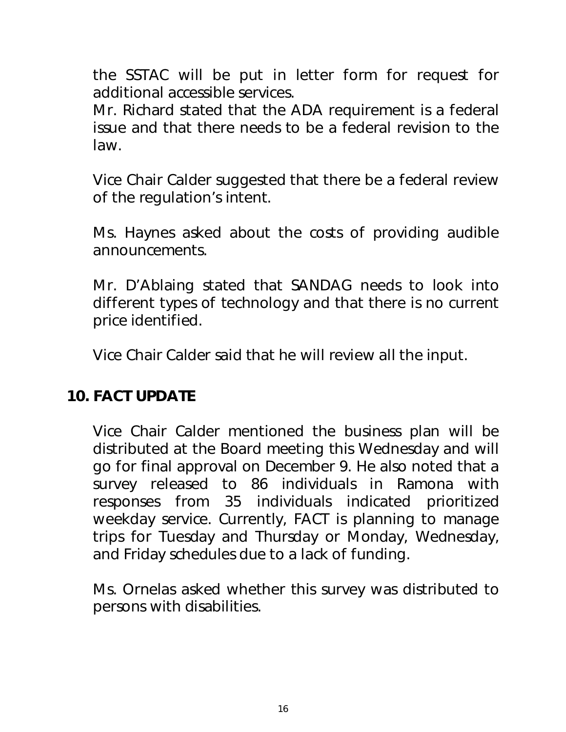the SSTAC will be put in letter form for request for additional accessible services.

Mr. Richard stated that the ADA requirement is a federal issue and that there needs to be a federal revision to the law.

Vice Chair Calder suggested that there be a federal review of the regulation's intent.

Ms. Haynes asked about the costs of providing audible announcements.

Mr. D'Ablaing stated that SANDAG needs to look into different types of technology and that there is no current price identified.

Vice Chair Calder said that he will review all the input.

#### **10. FACT UPDATE**

Vice Chair Calder mentioned the business plan will be distributed at the Board meeting this Wednesday and will go for final approval on December 9. He also noted that a survey released to 86 individuals in Ramona with responses from 35 individuals indicated prioritized weekday service. Currently, FACT is planning to manage trips for Tuesday and Thursday or Monday, Wednesday, and Friday schedules due to a lack of funding.

Ms. Ornelas asked whether this survey was distributed to persons with disabilities.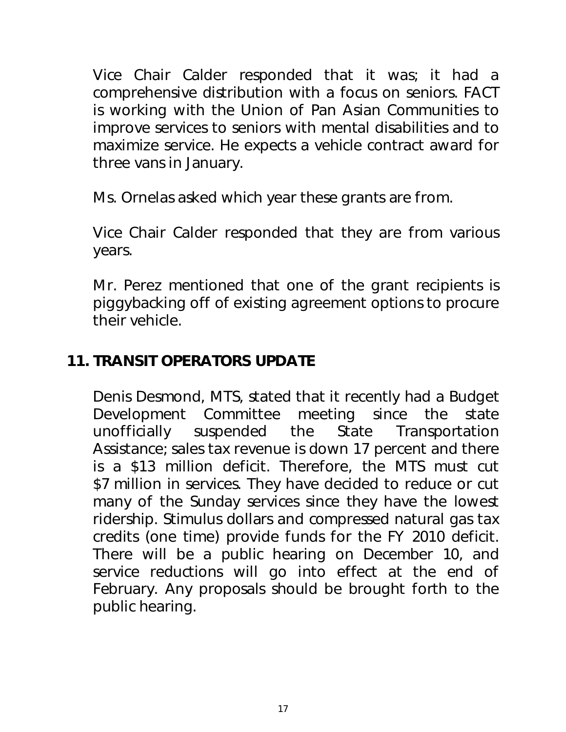Vice Chair Calder responded that it was; it had a comprehensive distribution with a focus on seniors. FACT is working with the Union of Pan Asian Communities to improve services to seniors with mental disabilities and to maximize service. He expects a vehicle contract award for three vans in January.

Ms. Ornelas asked which year these grants are from.

Vice Chair Calder responded that they are from various years.

Mr. Perez mentioned that one of the grant recipients is piggybacking off of existing agreement options to procure their vehicle.

## **11. TRANSIT OPERATORS UPDATE**

Denis Desmond, MTS, stated that it recently had a Budget Development Committee meeting since the state unofficially suspended the State Transportation Assistance; sales tax revenue is down 17 percent and there is a \$13 million deficit. Therefore, the MTS must cut \$7 million in services. They have decided to reduce or cut many of the Sunday services since they have the lowest ridership. Stimulus dollars and compressed natural gas tax credits (one time) provide funds for the FY 2010 deficit. There will be a public hearing on December 10, and service reductions will go into effect at the end of February. Any proposals should be brought forth to the public hearing.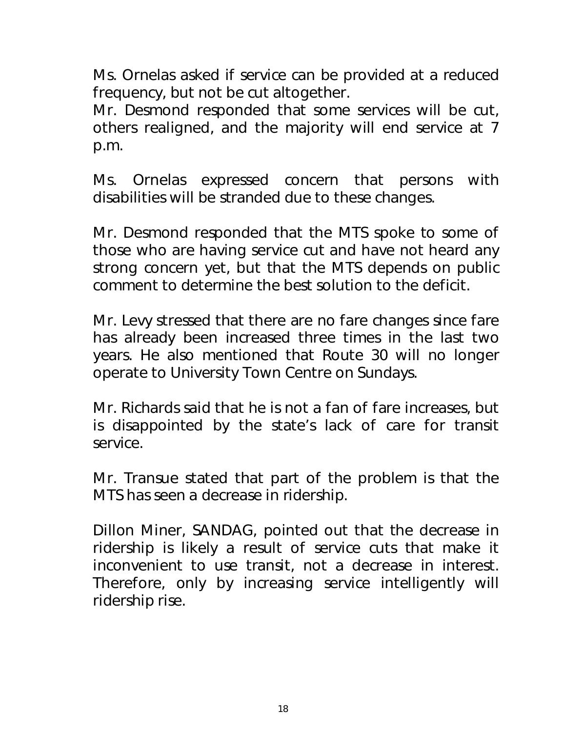Ms. Ornelas asked if service can be provided at a reduced frequency, but not be cut altogether.

Mr. Desmond responded that some services will be cut, others realigned, and the majority will end service at 7 p.m.

Ms. Ornelas expressed concern that persons with disabilities will be stranded due to these changes.

Mr. Desmond responded that the MTS spoke to some of those who are having service cut and have not heard any strong concern yet, but that the MTS depends on public comment to determine the best solution to the deficit.

Mr. Levy stressed that there are no fare changes since fare has already been increased three times in the last two years. He also mentioned that Route 30 will no longer operate to University Town Centre on Sundays.

Mr. Richards said that he is not a fan of fare increases, but is disappointed by the state's lack of care for transit service.

Mr. Transue stated that part of the problem is that the MTS has seen a decrease in ridership.

Dillon Miner, SANDAG, pointed out that the decrease in ridership is likely a result of service cuts that make it inconvenient to use transit, not a decrease in interest. Therefore, only by increasing service intelligently will ridership rise.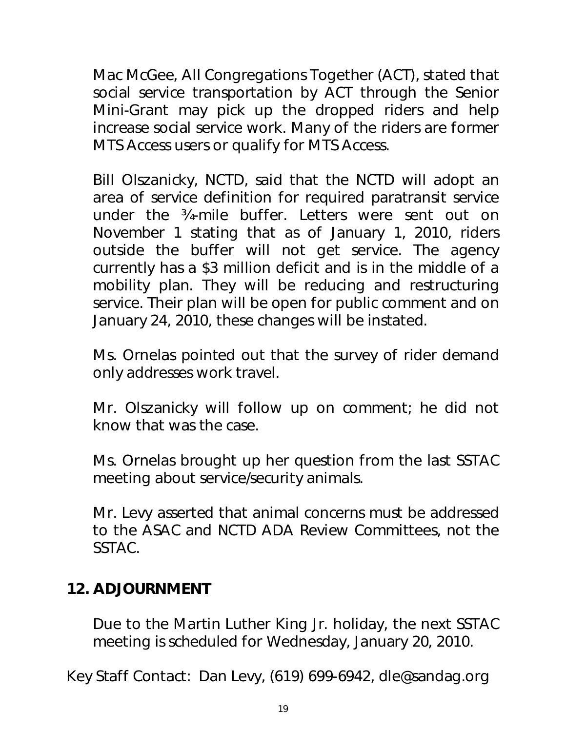Mac McGee, All Congregations Together (ACT), stated that social service transportation by ACT through the Senior Mini-Grant may pick up the dropped riders and help increase social service work. Many of the riders are former MTS Access users or qualify for MTS Access.

Bill Olszanicky, NCTD, said that the NCTD will adopt an area of service definition for required paratransit service under the ¾-mile buffer. Letters were sent out on November 1 stating that as of January 1, 2010, riders outside the buffer will not get service. The agency currently has a \$3 million deficit and is in the middle of a mobility plan. They will be reducing and restructuring service. Their plan will be open for public comment and on January 24, 2010, these changes will be instated.

Ms. Ornelas pointed out that the survey of rider demand only addresses work travel.

Mr. Olszanicky will follow up on comment; he did not know that was the case.

Ms. Ornelas brought up her question from the last SSTAC meeting about service/security animals.

Mr. Levy asserted that animal concerns must be addressed to the ASAC and NCTD ADA Review Committees, not the SSTAC.

#### **12. ADJOURNMENT**

Due to the Martin Luther King Jr. holiday, the next SSTAC meeting is scheduled for Wednesday, January 20, 2010.

Key Staff Contact: Dan Levy, (619) 699-6942, dle@sandag.org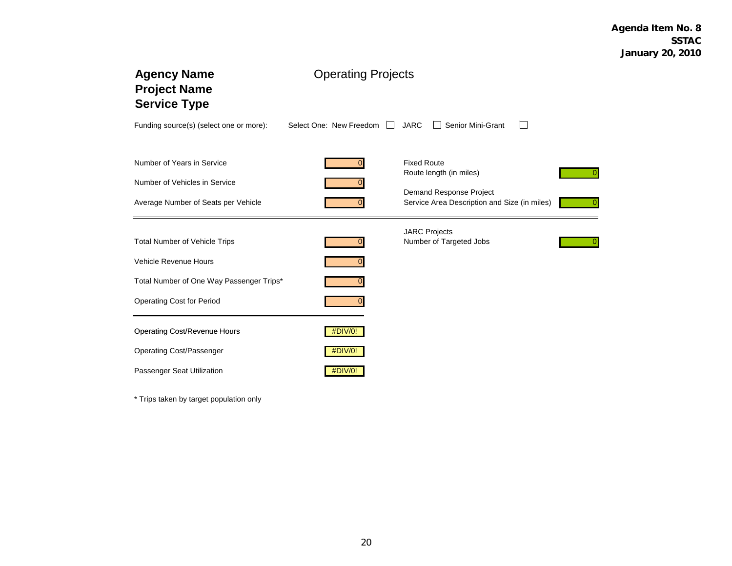| <b>Agency Name</b><br><b>Project Name</b><br><b>Service Type</b> | <b>Operating Projects</b>          |                                                                         |  |  |  |  |  |
|------------------------------------------------------------------|------------------------------------|-------------------------------------------------------------------------|--|--|--|--|--|
| Funding source(s) (select one or more):                          | Select One: New Freedom<br>$\perp$ | Senior Mini-Grant<br><b>JARC</b>                                        |  |  |  |  |  |
| Number of Years in Service                                       |                                    | <b>Fixed Route</b>                                                      |  |  |  |  |  |
| Number of Vehicles in Service                                    |                                    | Route length (in miles)                                                 |  |  |  |  |  |
| Average Number of Seats per Vehicle                              |                                    | Demand Response Project<br>Service Area Description and Size (in miles) |  |  |  |  |  |
| <b>Total Number of Vehicle Trips</b>                             |                                    | <b>JARC Projects</b><br>Number of Targeted Jobs                         |  |  |  |  |  |
| <b>Vehicle Revenue Hours</b>                                     |                                    |                                                                         |  |  |  |  |  |
| Total Number of One Way Passenger Trips*                         |                                    |                                                                         |  |  |  |  |  |
| <b>Operating Cost for Period</b>                                 |                                    |                                                                         |  |  |  |  |  |
| <b>Operating Cost/Revenue Hours</b>                              | #DIV/0!                            |                                                                         |  |  |  |  |  |
| Operating Cost/Passenger                                         | #DIV/0!                            |                                                                         |  |  |  |  |  |
| Passenger Seat Utilization                                       | #DIV/0!                            |                                                                         |  |  |  |  |  |

\* Trips taken by target population only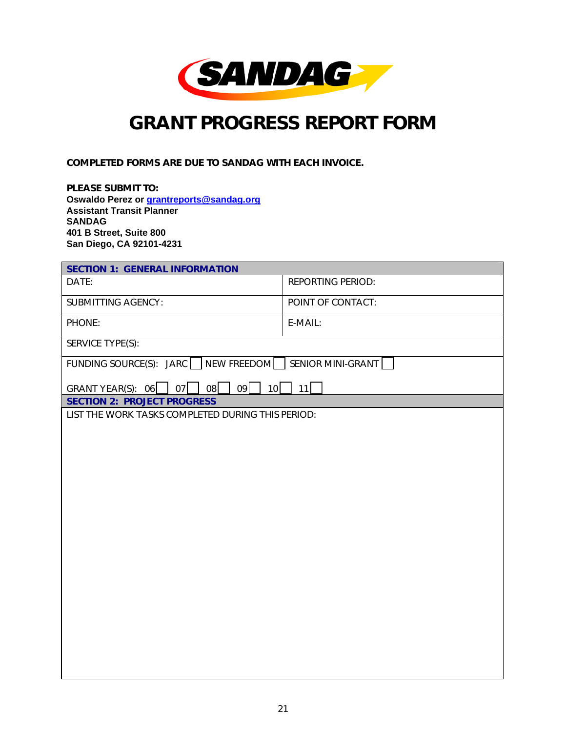

## *GRANT PROGRESS REPORT FORM*

COMPLETED FORMS ARE DUE TO SANDAG WITH EACH INVOICE.

PLEASE SUBMIT TO: **Oswaldo Perez or grantreports@sandag.org Assistant Transit Planner SANDAG 401 B Street, Suite 800 San Diego, CA 92101-4231** 

| <b>SECTION 1: GENERAL INFORMATION</b>                 |                          |  |  |  |  |  |
|-------------------------------------------------------|--------------------------|--|--|--|--|--|
| DATE:                                                 | <b>REPORTING PERIOD:</b> |  |  |  |  |  |
| <b>SUBMITTING AGENCY:</b>                             | POINT OF CONTACT:        |  |  |  |  |  |
| PHONE:                                                | E-MAIL:                  |  |  |  |  |  |
| SERVICE TYPE(S):                                      |                          |  |  |  |  |  |
| FUNDING SOURCE(S): JARC NEW FREEDOM SENIOR MINI-GRANT |                          |  |  |  |  |  |
| 08<br>09<br>10<br>GRANT YEAR(S): $06$<br>07           | 11                       |  |  |  |  |  |
| <b>SECTION 2: PROJECT PROGRESS</b>                    |                          |  |  |  |  |  |
| LIST THE WORK TASKS COMPLETED DURING THIS PERIOD:     |                          |  |  |  |  |  |
|                                                       |                          |  |  |  |  |  |
|                                                       |                          |  |  |  |  |  |
|                                                       |                          |  |  |  |  |  |
|                                                       |                          |  |  |  |  |  |
|                                                       |                          |  |  |  |  |  |
|                                                       |                          |  |  |  |  |  |
|                                                       |                          |  |  |  |  |  |
|                                                       |                          |  |  |  |  |  |
|                                                       |                          |  |  |  |  |  |
|                                                       |                          |  |  |  |  |  |
|                                                       |                          |  |  |  |  |  |
|                                                       |                          |  |  |  |  |  |
|                                                       |                          |  |  |  |  |  |
|                                                       |                          |  |  |  |  |  |
|                                                       |                          |  |  |  |  |  |
|                                                       |                          |  |  |  |  |  |
|                                                       |                          |  |  |  |  |  |
|                                                       |                          |  |  |  |  |  |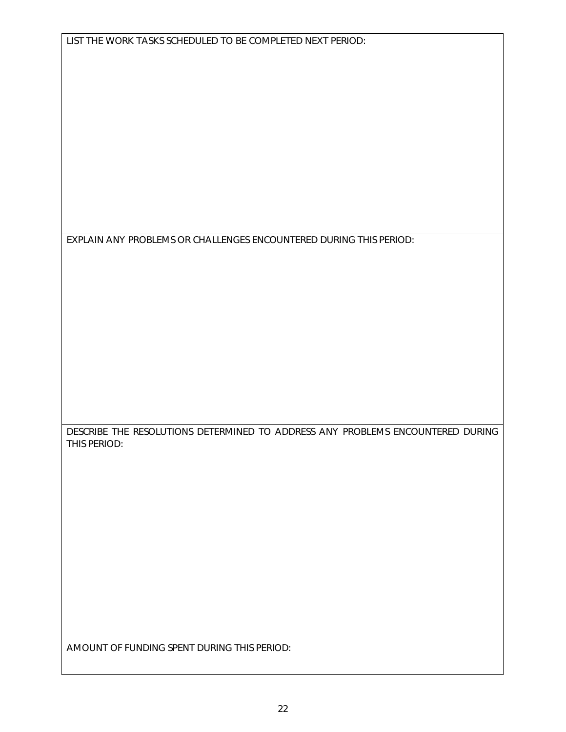EXPLAIN ANY PROBLEMS OR CHALLENGES ENCOUNTERED DURING THIS PERIOD:

DESCRIBE THE RESOLUTIONS DETERMINED TO ADDRESS ANY PROBLEMS ENCOUNTERED DURING THIS PERIOD:

AMOUNT OF FUNDING SPENT DURING THIS PERIOD: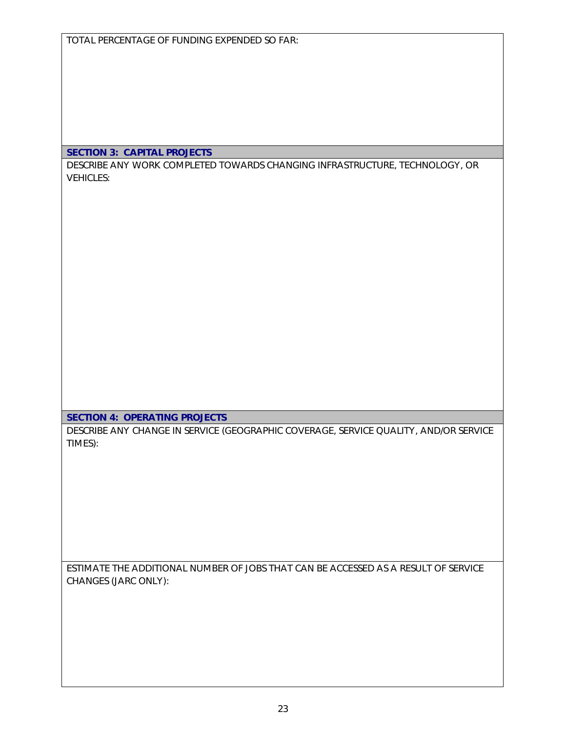TOTAL PERCENTAGE OF FUNDING EXPENDED SO FAR:

#### SECTION 3: CAPITAL PROJECTS

DESCRIBE ANY WORK COMPLETED TOWARDS CHANGING INFRASTRUCTURE, TECHNOLOGY, OR VEHICLES:

SECTION 4: OPERATING PROJECTS

DESCRIBE ANY CHANGE IN SERVICE (GEOGRAPHIC COVERAGE, SERVICE QUALITY, AND/OR SERVICE TIMES):

ESTIMATE THE ADDITIONAL NUMBER OF JOBS THAT CAN BE ACCESSED AS A RESULT OF SERVICE CHANGES (JARC ONLY):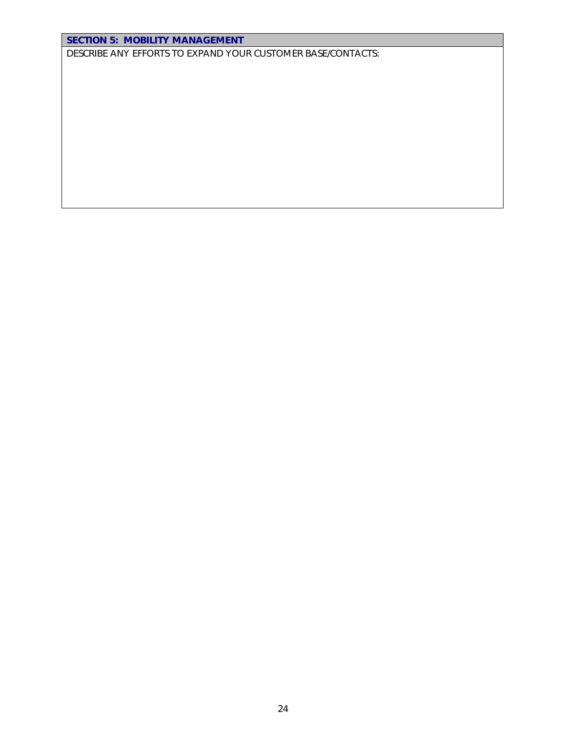#### SECTION 5: MOBILITY MANAGEMENT

DESCRIBE ANY EFFORTS TO EXPAND YOUR CUSTOMER BASE/CONTACTS: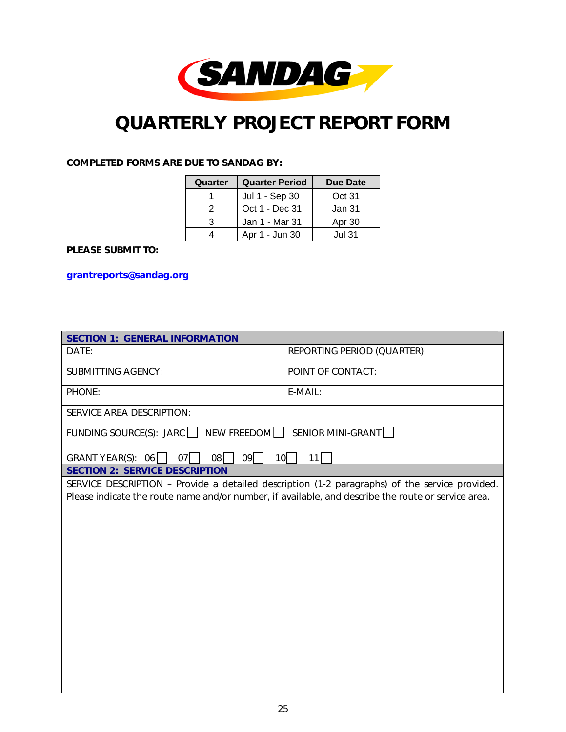

## *QUARTERLY PROJECT REPORT FORM*

#### COMPLETED FORMS ARE DUE TO SANDAG BY:

| Quarter | <b>Quarter Period</b> | Due Date |
|---------|-----------------------|----------|
|         | Jul 1 - Sep 30        | Oct 31   |
| 2       | Oct 1 - Dec 31        | Jan 31   |
| 3       | Jan 1 - Mar 31        | Apr 30   |
|         | Apr 1 - Jun 30        | Jul 31.  |

#### PLEASE SUBMIT TO:

grantreports@sandag.org

| <b>SECTION 1: GENERAL INFORMATION</b>                                                               |                                                                                                |  |  |  |  |  |  |
|-----------------------------------------------------------------------------------------------------|------------------------------------------------------------------------------------------------|--|--|--|--|--|--|
| DATE:                                                                                               | REPORTING PERIOD (QUARTER):                                                                    |  |  |  |  |  |  |
| <b>SUBMITTING AGENCY:</b>                                                                           | POINT OF CONTACT:                                                                              |  |  |  |  |  |  |
| PHONE:                                                                                              | E-MAIL:                                                                                        |  |  |  |  |  |  |
| SERVICE AREA DESCRIPTION:                                                                           |                                                                                                |  |  |  |  |  |  |
| FUNDING SOURCE(S): JARC   NEW FREEDOM SENIOR MINI-GRANT                                             |                                                                                                |  |  |  |  |  |  |
| $08\Box$<br>09<br>GRANT YEAR(S): $06$  <br>$07$                                                     | $10$  <br>11                                                                                   |  |  |  |  |  |  |
| <b>SECTION 2: SERVICE DESCRIPTION</b>                                                               |                                                                                                |  |  |  |  |  |  |
|                                                                                                     | SERVICE DESCRIPTION - Provide a detailed description (1-2 paragraphs) of the service provided. |  |  |  |  |  |  |
| Please indicate the route name and/or number, if available, and describe the route or service area. |                                                                                                |  |  |  |  |  |  |
|                                                                                                     |                                                                                                |  |  |  |  |  |  |
|                                                                                                     |                                                                                                |  |  |  |  |  |  |
|                                                                                                     |                                                                                                |  |  |  |  |  |  |
|                                                                                                     |                                                                                                |  |  |  |  |  |  |
|                                                                                                     |                                                                                                |  |  |  |  |  |  |
|                                                                                                     |                                                                                                |  |  |  |  |  |  |
|                                                                                                     |                                                                                                |  |  |  |  |  |  |
|                                                                                                     |                                                                                                |  |  |  |  |  |  |
|                                                                                                     |                                                                                                |  |  |  |  |  |  |
|                                                                                                     |                                                                                                |  |  |  |  |  |  |
|                                                                                                     |                                                                                                |  |  |  |  |  |  |
|                                                                                                     |                                                                                                |  |  |  |  |  |  |
|                                                                                                     |                                                                                                |  |  |  |  |  |  |
|                                                                                                     |                                                                                                |  |  |  |  |  |  |
|                                                                                                     |                                                                                                |  |  |  |  |  |  |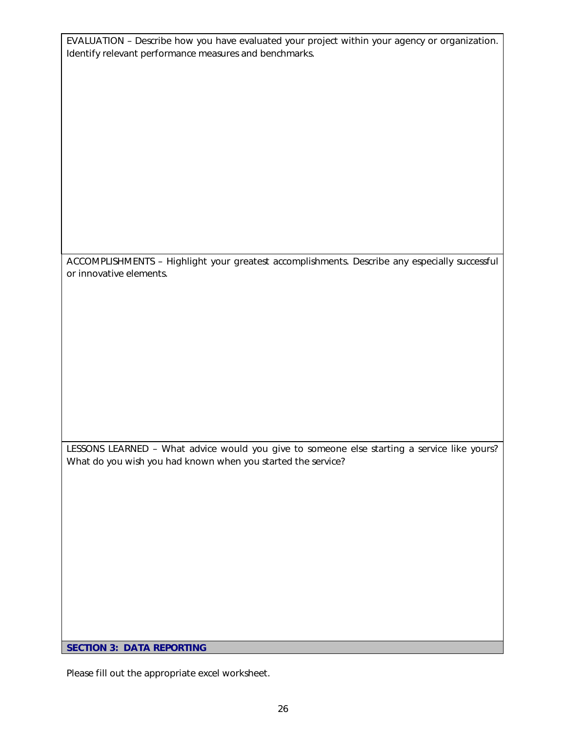EVALUATION – Describe how you have evaluated your project within your agency or organization. Identify relevant performance measures and benchmarks.

ACCOMPLISHMENTS – Highlight your greatest accomplishments. Describe any especially successful or innovative elements.

LESSONS LEARNED – What advice would you give to someone else starting a service like yours? What do you wish you had known when you started the service?

SECTION 3: DATA REPORTING

Please fill out the appropriate excel worksheet.